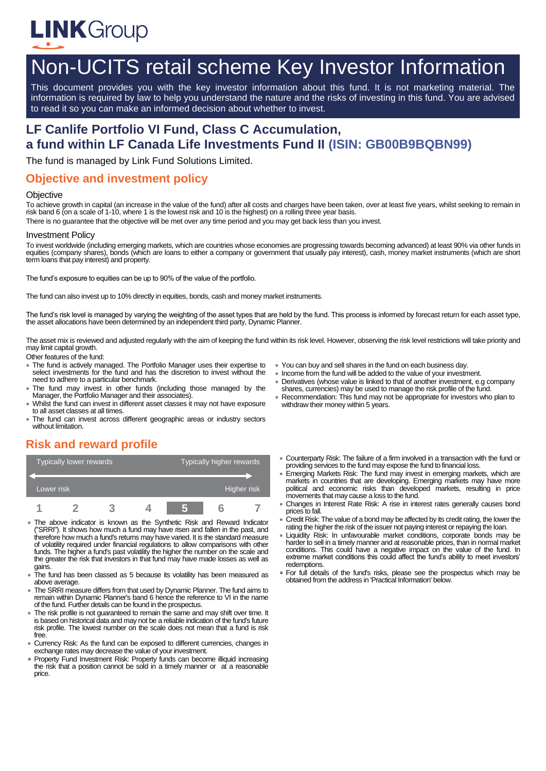

# Non-UCITS retail scheme Key Investor Information

This document provides you with the key investor information about this fund. It is not marketing material. The information is required by law to help you understand the nature and the risks of investing in this fund. You are advised to read it so you can make an informed decision about whether to invest.

## **LF Canlife Portfolio VI Fund, Class C Accumulation, a fund within LF Canada Life Investments Fund II (ISIN: GB00B9BQBN99)**

The fund is managed by Link Fund Solutions Limited.

#### **Objective and investment policy**

#### **Objective**

To achieve growth in capital (an increase in the value of the fund) after all costs and charges have been taken, over at least five years, whilst seeking to remain in risk band 6 (on a scale of 1-10, where 1 is the lowest risk and 10 is the highest) on a rolling three year basis.

There is no guarantee that the objective will be met over any time period and you may get back less than you invest.

#### Investment Policy

To invest worldwide (including emerging markets, which are countries whose economies are progressing towards becoming advanced) at least 90% via other funds in equities (company shares), bonds (which are loans to either a company or government that usually pay interest), cash, money market instruments (which are short term loans that pay interest) and property.

The fund's exposure to equities can be up to 90% of the value of the portfolio.

The fund can also invest up to 10% directly in equities, bonds, cash and money market instruments.

The fund's risk level is managed by varying the weighting of the asset types that are held by the fund. This process is informed by forecast return for each asset type, the asset allocations have been determined by an independent third party, Dynamic Planner.

The asset mix is reviewed and adjusted regularly with the aim of keeping the fund within its risk level. However, observing the risk level restrictions will take priority and may limit capital growth.

Other features of the fund:

- The fund is actively managed. The Portfolio Manager uses their expertise to select investments for the fund and has the discretion to invest without the need to adhere to a particular benchmark.
- The fund may invest in other funds (including those managed by the Manager, the Portfolio Manager and their associates).
- Whilst the fund can invest in different asset classes it may not have exposure to all asset classes at all times.
- The fund can invest across different geographic areas or industry sectors without limitation.

## **Risk and reward profile**

| Typically lower rewards |  |  |  | Typically higher rewards |  |  |  |
|-------------------------|--|--|--|--------------------------|--|--|--|
|                         |  |  |  |                          |  |  |  |
| Lower risk              |  |  |  | Higher risk              |  |  |  |
|                         |  |  |  |                          |  |  |  |

- The above indicator is known as the Synthetic Risk and Reward Indicator ("SRRI"). It shows how much a fund may have risen and fallen in the past, and therefore how much a fund's returns may have varied. It is the standard measure of volatility required under financial regulations to allow comparisons with other funds. The higher a fund's past volatility the higher the number on the scale and the greater the risk that investors in that fund may have made losses as well as gains.
- The fund has been classed as 5 because its volatility has been measured as above average.
- The SRRI measure differs from that used by Dynamic Planner. The fund aims to remain within Dynamic Planner's band 6 hence the reference to VI in the name of the fund. Further details can be found in the prospectus.
- The risk profile is not guaranteed to remain the same and may shift over time. It is based on historical data and may not be a reliable indication of the fund's future risk profile. The lowest number on the scale does not mean that a fund is risk free.
- Currency Risk: As the fund can be exposed to different currencies, changes in exchange rates may decrease the value of your investment.
- Property Fund Investment Risk: Property funds can become illiquid increasing the risk that a position cannot be sold in a timely manner or at a reasonable price.
- You can buy and sell shares in the fund on each business day.
- Income from the fund will be added to the value of your investment.
- Derivatives (whose value is linked to that of another investment, e.g company shares, currencies) may be used to manage the risk profile of the fund.
- Recommendation: This fund may not be appropriate for investors who plan to withdraw their money within 5 years.
- Counterparty Risk: The failure of a firm involved in a transaction with the fund or providing services to the fund may expose the fund to financial loss.
- Emerging Markets Risk: The fund may invest in emerging markets, which are markets in countries that are developing. Emerging markets may have more political and economic risks than developed markets, resulting in price movements that may cause a loss to the fund.
- Changes in Interest Rate Risk: A rise in interest rates generally causes bond prices to fall.
- Credit Risk: The value of a bond may be affected by its credit rating, the lower the rating the higher the risk of the issuer not paying interest or repaying the loan.
- Liquidity Risk: In unfavourable market conditions, corporate bonds may be harder to sell in a timely manner and at reasonable prices, than in normal market conditions. This could have a negative impact on the value of the fund. In extreme market conditions this could affect the fund's ability to meet investors' redemptions.
- For full details of the fund's risks, please see the prospectus which may be obtained from the address in 'Practical Information' below.